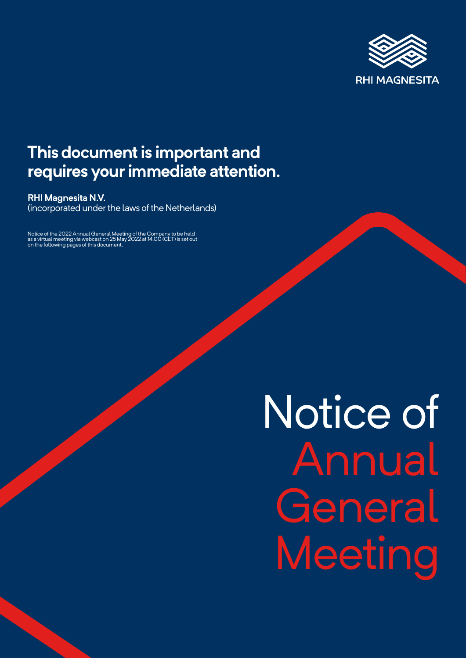

### **This document is important and requires your immediate attention.**

**RHI Magnesita N.V.**

(incorporated under the laws of the Netherlands)

Notice of the 2022 Annual General Meeting of the Company to be held as a virtual meeting via webcast on 25 May 2022 at 14.00 (CET) is set out on the following pages of this document.

# Notice of Annual **General** Meeting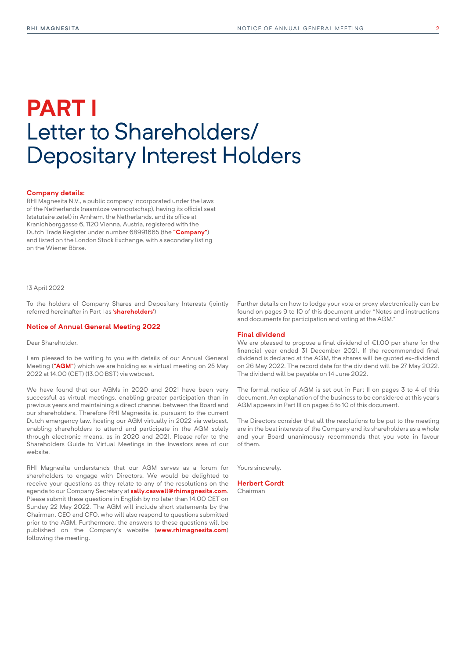### **PART I** Letter to Shareholders/ Depositary Interest Holders

#### **Company details:**

RHI Magnesita N.V., a public company incorporated under the laws of the Netherlands (naamloze vennootschap), having its official seat (statutaire zetel) in Arnhem, the Netherlands, and its office at Kranichberggasse 6, 1120 Vienna, Austria, registered with the Dutch Trade Register under number 68991665 (the **"Company"**) and listed on the London Stock Exchange, with a secondary listing on the Wiener Börse.

#### 13 April 2022

To the holders of Company Shares and Depositary Interests (jointly referred hereinafter in Part I as **'shareholders'**)

#### **Notice of Annual General Meeting 2022**

Dear Shareholder,

I am pleased to be writing to you with details of our Annual General Meeting (**"AGM"**) which we are holding as a virtual meeting on 25 May 2022 at 14.00 (CET) (13.00 BST) via webcast.

We have found that our AGMs in 2020 and 2021 have been very successful as virtual meetings, enabling greater participation than in previous years and maintaining a direct channel between the Board and our shareholders. Therefore RHI Magnesita is, pursuant to the current Dutch emergency law, hosting our AGM virtually in 2022 via webcast, enabling shareholders to attend and participate in the AGM solely through electronic means, as in 2020 and 2021. Please refer to the Shareholders Guide to Virtual Meetings in the Investors area of our website.

RHI Magnesita understands that our AGM serves as a forum for shareholders to engage with Directors. We would be delighted to receive your questions as they relate to any of the resolutions on the agenda to our Company Secretary at **[sally.caswell@rhimagnesita.com](mailto:sally.caswell%40rhimagnesita.com?subject=)**. Please submit these questions in English by no later than 14.00 CET on Sunday 22 May 2022. The AGM will include short statements by the Chairman, CEO and CFO, who will also respond to questions submitted prior to the AGM. Furthermore, the answers to these questions will be published on the Company's website (**[www.rhimagnesita.com](http://www.rhimagnesita.com)**) following the meeting.

Further details on how to lodge your vote or proxy electronically can be found on pages 9 to 10 of this document under "Notes and instructions and documents for participation and voting at the AGM."

#### **Final dividend**

We are pleased to propose a final dividend of €1.00 per share for the financial year ended 31 December 2021. If the recommended final dividend is declared at the AGM, the shares will be quoted ex-dividend on 26 May 2022. The record date for the dividend will be 27 May 2022. The dividend will be payable on 14 June 2022.

The formal notice of AGM is set out in Part II on pages 3 to 4 of this document. An explanation of the business to be considered at this year's AGM appears in Part III on pages 5 to 10 of this document.

The Directors consider that all the resolutions to be put to the meeting are in the best interests of the Company and its shareholders as a whole and your Board unanimously recommends that you vote in favour of them.

Yours sincerely,

**Herbert Cordt** Chairman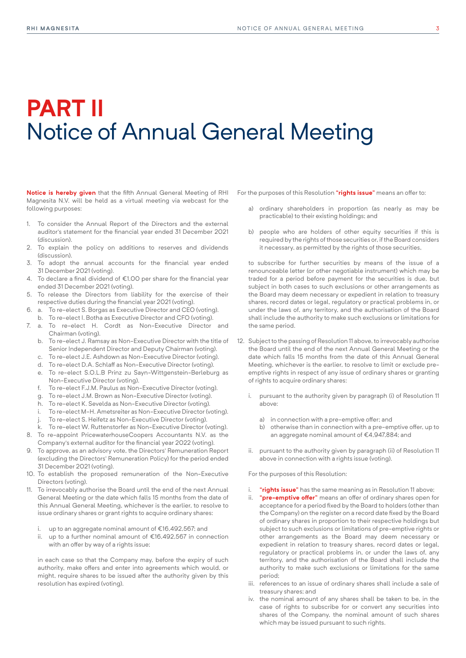## **PART II** Notice of Annual General Meeting

**Notice is hereby given** that the fifth Annual General Meeting of RHI Magnesita N.V. will be held as a virtual meeting via webcast for the following purposes:

- 1. To consider the Annual Report of the Directors and the external auditor's statement for the financial year ended 31 December 2021 (discussion).
- 2. To explain the policy on additions to reserves and dividends (discussion).
- 3. To adopt the annual accounts for the financial year ended 31 December 2021 (voting).
- 4. To declare a final dividend of €1.00 per share for the financial year ended 31 December 2021 (voting).
- 5. To release the Directors from liability for the exercise of their respective duties during the financial year 2021 (voting).
- 6. a. To re-elect S. Borgas as Executive Director and CEO (voting).
- b. To re-elect I. Botha as Executive Director and CFO (voting).
- 7. a. To re-elect H. Cordt as Non-Executive Director and Chairman (voting).
	- b. To re-elect J. Ramsay as Non-Executive Director with the title of Senior Independent Director and Deputy Chairman (voting).
	- c. To re-elect J.E. Ashdown as Non-Executive Director (voting).
	- d. To re-elect D.A. Schlaff as Non-Executive Director (voting).
	- e. To re-elect S.O.L.B Prinz zu Sayn-Wittgenstein-Berleburg as Non-Executive Director (voting).
	- f. To re-elect F.J.M. Paulus as Non-Executive Director (voting).
	- g. To re-elect J.M. Brown as Non-Executive Director (voting).
	- h. To re-elect K. Sevelda as Non-Executive Director (voting).
	- To re-elect M-H. Ametsreiter as Non-Executive Director (voting).
	- To re-elect S. Heifetz as Non-Executive Director (voting).
- k. To re-elect W. Ruttenstorfer as Non-Executive Director (voting).
- 8. To re-appoint PricewaterhouseCoopers Accountants N.V. as the Company's external auditor for the financial year 2022 (voting).
- 9. To approve, as an advisory vote, the Directors' Remuneration Report (excluding the Directors' Remuneration Policy) for the period ended 31 December 2021 (voting).
- 10. To establish the proposed remuneration of the Non-Executive Directors (voting).
- 11. To irrevocably authorise the Board until the end of the next Annual General Meeting or the date which falls 15 months from the date of this Annual General Meeting, whichever is the earlier, to resolve to issue ordinary shares or grant rights to acquire ordinary shares:
	- i. up to an aggregate nominal amount of €16,492,567; and
	- ii. up to a further nominal amount of €16,492,567 in connection with an offer by way of a rights issue;

in each case so that the Company may, before the expiry of such authority, make offers and enter into agreements which would, or might, require shares to be issued after the authority given by this resolution has expired (voting).

For the purposes of this Resolution **"rights issue"** means an offer to:

- a) ordinary shareholders in proportion (as nearly as may be practicable) to their existing holdings; and
- b) people who are holders of other equity securities if this is required by the rights of those securities or, if the Board considers it necessary, as permitted by the rights of those securities,

to subscribe for further securities by means of the issue of a renounceable letter (or other negotiable instrument) which may be traded for a period before payment for the securities is due, but subject in both cases to such exclusions or other arrangements as the Board may deem necessary or expedient in relation to treasury shares, record dates or legal, regulatory or practical problems in, or under the laws of, any territory, and the authorisation of the Board shall include the authority to make such exclusions or limitations for the same period.

- 12. Subject to the passing of Resolution 11 above, to irrevocably authorise the Board until the end of the next Annual General Meeting or the date which falls 15 months from the date of this Annual General Meeting, whichever is the earlier, to resolve to limit or exclude preemptive rights in respect of any issue of ordinary shares or granting of rights to acquire ordinary shares:
	- i. pursuant to the authority given by paragraph (i) of Resolution 11 above:
		- a) in connection with a pre-emptive offer; and
		- b) otherwise than in connection with a pre-emptive offer, up to an aggregate nominal amount of €4,947,884; and
	- ii. pursuant to the authority given by paragraph (ii) of Resolution 11 above in connection with a rights issue (voting).

For the purposes of this Resolution:

- i. **"rights issue"** has the same meaning as in Resolution 11 above;
- "pre-emptive offer" means an offer of ordinary shares open for acceptance for a period fixed by the Board to holders (other than the Company) on the register on a record date fixed by the Board of ordinary shares in proportion to their respective holdings but subject to such exclusions or limitations of pre-emptive rights or other arrangements as the Board may deem necessary or expedient in relation to treasury shares, record dates or legal, regulatory or practical problems in, or under the laws of, any territory, and the authorisation of the Board shall include the authority to make such exclusions or limitations for the same period;
- iii. references to an issue of ordinary shares shall include a sale of treasury shares; and
- iv. the nominal amount of any shares shall be taken to be, in the case of rights to subscribe for or convert any securities into shares of the Company, the nominal amount of such shares which may be issued pursuant to such rights.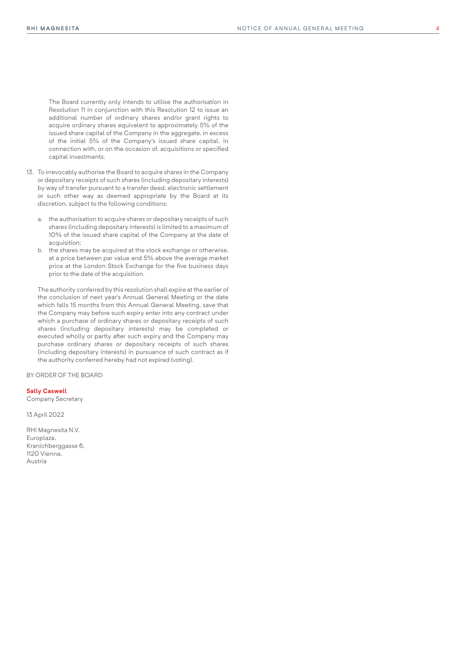The Board currently only intends to utilise the authorisation in Resolution 11 in conjunction with this Resolution 12 to issue an additional number of ordinary shares and/or grant rights to acquire ordinary shares equivalent to approximately 5% of the issued share capital of the Company in the aggregate, in excess of the initial 5% of the Company's issued share capital, in connection with, or on the occasion of, acquisitions or specified capital investments.

- 13. To irrevocably authorise the Board to acquire shares in the Company or depositary receipts of such shares (including depositary interests) by way of transfer pursuant to a transfer deed, electronic settlement or such other way as deemed appropriate by the Board at its discretion, subject to the following conditions:
	- a. the authorisation to acquire shares or depositary receipts of such shares (including depositary interests) is limited to a maximum of 10% of the issued share capital of the Company at the date of acquisition;
	- b. the shares may be acquired at the stock exchange or otherwise, at a price between par value and 5% above the average market price at the London Stock Exchange for the five business days prior to the date of the acquisition.

The authority conferred by this resolution shall expire at the earlier of the conclusion of next year's Annual General Meeting or the date which falls 15 months from this Annual General Meeting, save that the Company may before such expiry enter into any contract under which a purchase of ordinary shares or depositary receipts of such shares (including depositary interests) may be completed or executed wholly or partly after such expiry and the Company may purchase ordinary shares or depositary receipts of such shares (including depositary interests) in pursuance of such contract as if the authority conferred hereby had not expired (voting).

BY ORDER OF THE BOARD

#### **Sally Caswell**

Company Secretary

13 April 2022

RHI Magnesita N.V. Europlaza, Kranichberggasse 6, 1120 Vienna, Austria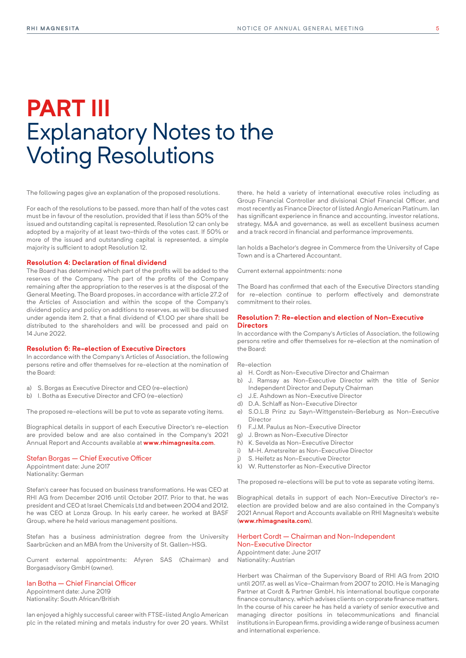### **PART III** Explanatory Notes to the Voting Resolutions

The following pages give an explanation of the proposed resolutions.

For each of the resolutions to be passed, more than half of the votes cast must be in favour of the resolution, provided that if less than 50% of the issued and outstanding capital is represented, Resolution 12 can only be adopted by a majority of at least two-thirds of the votes cast. If 50% or more of the issued and outstanding capital is represented, a simple majority is sufficient to adopt Resolution 12.

#### **Resolution 4: Declaration of final dividend**

The Board has determined which part of the profits will be added to the reserves of the Company. The part of the profits of the Company remaining after the appropriation to the reserves is at the disposal of the General Meeting. The Board proposes, in accordance with article 27.2 of the Articles of Association and within the scope of the Company's dividend policy and policy on additions to reserves, as will be discussed under agenda item 2, that a final dividend of €1.00 per share shall be distributed to the shareholders and will be processed and paid on 14 June 2022.

#### **Resolution 6: Re-election of Executive Directors**

In accordance with the Company's Articles of Association, the following persons retire and offer themselves for re-election at the nomination of the Board:

- a) S. Borgas as Executive Director and CEO (re-election)
- b) I. Botha as Executive Director and CFO (re-election)

The proposed re-elections will be put to vote as separate voting items.

Biographical details in support of each Executive Director's re-election are provided below and are also contained in the Company's 2021 Annual Report and Accounts available at **[www.rhimagnesita.com](http://www.rhimagnesita.com)**.

#### Stefan Borgas – Chief Executive Officer

Appointment date: June 2017 Nationality: German

Stefan's career has focused on business transformations. He was CEO at RHI AG from December 2016 until October 2017. Prior to that, he was president and CEO at Israel Chemicals Ltd and between 2004 and 2012, he was CEO at Lonza Group. In his early career, he worked at BASF Group, where he held various management positions.

Stefan has a business administration degree from the University Saarbrücken and an MBA from the University of St. Gallen-HSG.

Current external appointments: Afyren SAS (Chairman) and Borgasadvisory GmbH (owner).

#### Ian Botha – Chief Financial Officer

Appointment date: June 2019 Nationality: South African/British

Ian enjoyed a highly successful career with FTSE-listed Anglo American plc in the related mining and metals industry for over 20 years. Whilst

there, he held a variety of international executive roles including as Group Financial Controller and divisional Chief Financial Officer, and most recently as Finance Director of listed Anglo American Platinum. Ian has significant experience in finance and accounting, investor relations, strategy, M&A and governance, as well as excellent business acumen and a track record in financial and performance improvements.

Ian holds a Bachelor's degree in Commerce from the University of Cape Town and is a Chartered Accountant.

Current external appointments: none

The Board has confirmed that each of the Executive Directors standing for re-election continue to perform effectively and demonstrate commitment to their roles.

#### **Resolution 7: Re-election and election of Non-Executive Directors**

In accordance with the Company's Articles of Association, the following persons retire and offer themselves for re-election at the nomination of the Board:

Re-election

- a) H. Cordt as Non-Executive Director and Chairman
- b) J. Ramsay as Non-Executive Director with the title of Senior Independent Director and Deputy Chairman
- c) J.E. Ashdown as Non-Executive Director
- d) D.A. Schlaff as Non-Executive Director
- e) S.O.L.B Prinz zu Sayn-Wittgenstein-Berleburg as Non-Executive Director
- f) F.J.M. Paulus as Non-Executive Director
- g) J. Brown as Non-Executive Director
- h) K. Sevelda as Non-Executive Director
- i) M-H. Ametsreiter as Non-Executive Director
- j) S. Heifetz as Non-Executive Director
- k) W. Ruttenstorfer as Non-Executive Director

The proposed re-elections will be put to vote as separate voting items.

Biographical details in support of each Non-Executive Director's reelection are provided below and are also contained in the Company's 2021 Annual Report and Accounts available on RHI Magnesita's website (**[www.rhimagnesita.com](http://www.rhimagnesita.com)**).

Herbert Cordt – Chairman and Non-Independent Non-Executive Director Appointment date: June 2017 Nationality: Austrian

Herbert was Chairman of the Supervisory Board of RHI AG from 2010 until 2017, as well as Vice-Chairman from 2007 to 2010. He is Managing Partner at Cordt & Partner GmbH, his international boutique corporate finance consultancy, which advises clients on corporate finance matters. In the course of his career he has held a variety of senior executive and managing director positions in telecommunications and financial institutions in European firms, providing a wide range of business acumen and international experience.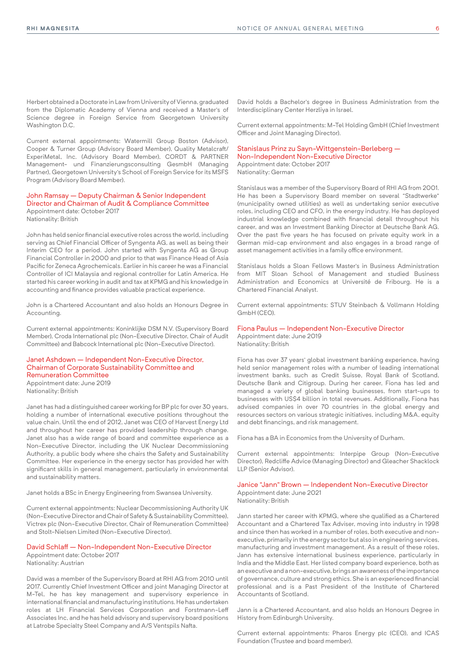Herbert obtained a Doctorate in Law from University of Vienna, graduated from the Diplomatic Academy of Vienna and received a Master's of Science degree in Foreign Service from Georgetown University Washington D.C.

Current external appointments: Watermill Group Boston (Advisor), Cooper & Turner Group (Advisory Board Member), Quality Metalcraft/ ExperiMetal, Inc. (Advisory Board Member), CORDT & PARTNER Management- und Finanzierungsconsulting GesmbH (Managing Partner), Georgetown University's School of Foreign Service for its MSFS Program (Advisory Board Member).

John Ramsay – Deputy Chairman & Senior Independent Director and Chairman of Audit & Compliance Committee Appointment date: October 2017

Nationality: British

John has held senior financial executive roles across the world, including serving as Chief Financial Officer of Syngenta AG, as well as being their Interim CEO for a period. John started with Syngenta AG as Group Financial Controller in 2000 and prior to that was Finance Head of Asia Pacific for Zeneca Agrochemicals. Earlier in his career he was a Financial Controller of ICI Malaysia and regional controller for Latin America. He started his career working in audit and tax at KPMG and his knowledge in accounting and finance provides valuable practical experience.

John is a Chartered Accountant and also holds an Honours Degree in Accounting.

Current external appointments: Koninklijke DSM N.V. (Supervisory Board Member), Croda International plc (Non-Executive Director, Chair of Audit Committee) and Babcock International plc (Non-Executive Director).

#### Janet Ashdown – Independent Non-Executive Director, Chairman of Corporate Sustainability Committee and Remuneration Committee Appointment date: June 2019

Nationality: British

Janet has had a distinguished career working for BP plc for over 30 years, holding a number of international executive positions throughout the value chain. Until the end of 2012, Janet was CEO of Harvest Energy Ltd and throughout her career has provided leadership through change. Janet also has a wide range of board and committee experience as a Non-Executive Director, including the UK Nuclear Decommissioning Authority, a public body where she chairs the Safety and Sustainability Committee. Her experience in the energy sector has provided her with significant skills in general management, particularly in environmental and sustainability matters.

Janet holds a BSc in Energy Engineering from Swansea University.

Current external appointments: Nuclear Decommissioning Authority UK (Non-Executive Director and Chair of Safety & Sustainability Committee), Victrex plc (Non-Executive Director, Chair of Remuneration Committee) and Stolt-Nielsen Limited (Non-Executive Director).

#### David Schlaff – Non-Independent Non-Executive Director Appointment date: October 2017

Nationality: Austrian

David was a member of the Supervisory Board at RHI AG from 2010 until 2017. Currently Chief Investment Officer and joint Managing Director at M-Tel, he has key management and supervisory experience in international financial and manufacturing institutions. He has undertaken roles at LH Financial Services Corporation and Forstmann-Leff Associates Inc, and he has held advisory and supervisory board positions at Latrobe Specialty Steel Company and A/S Ventspils Nafta.

David holds a Bachelor's degree in Business Administration from the Interdisciplinary Center Herzliya in Israel.

Current external appointments: M-Tel Holding GmbH (Chief Investment Officer and Joint Managing Director).

#### Stanislaus Prinz zu Sayn-Wittgenstein-Berleberg – Non-Independent Non-Executive Director Appointment date: October 2017

Nationality: German

Stanislaus was a member of the Supervisory Board of RHI AG from 2001. He has been a Supervisory Board member on several "Stadtwerke" (municipality owned utilities) as well as undertaking senior executive roles, including CEO and CFO, in the energy industry. He has deployed industrial knowledge combined with financial detail throughout his career, and was an Investment Banking Director at Deutsche Bank AG. Over the past five years he has focused on private equity work in a German mid-cap environment and also engages in a broad range of asset management activities in a family office environment.

Stanislaus holds a Sloan Fellows Master's in Business Administration from MIT Sloan School of Management and studied Business Administration and Economics at Université de Fribourg. He is a Chartered Financial Analyst.

Current external appointments: STUV Steinbach & Vollmann Holding GmbH (CEO).

#### Fiona Paulus – Independent Non-Executive Director Appointment date: June 2019

Nationality: British

Fiona has over 37 years' global investment banking experience, having held senior management roles with a number of leading international investment banks, such as Credit Suisse, Royal Bank of Scotland, Deutsche Bank and Citigroup. During her career, Fiona has led and managed a variety of global banking businesses, from start-ups to businesses with US\$4 billion in total revenues. Additionally, Fiona has advised companies in over 70 countries in the global energy and resources sectors on various strategic initiatives, including M&A, equity and debt financings, and risk management.

Fiona has a BA in Economics from the University of Durham.

Current external appointments: Interpipe Group (Non-Executive Director), Redcliffe Advice (Managing Director) and Gleacher Shacklock LLP (Senior Advisor).

#### Janice "Jann" Brown – Independent Non-Executive Director Appointment date: June 2021

Nationality: British

Jann started her career with KPMG, where she qualified as a Chartered Accountant and a Chartered Tax Adviser, moving into industry in 1998 and since then has worked in a number of roles, both executive and nonexecutive, primarily in the energy sector but also in engineering services, manufacturing and investment management. As a result of these roles, Jann has extensive international business experience, particularly in India and the Middle East. Her listed company board experience, both as an executive and a non-executive, brings an awareness of the importance of governance, culture and strong ethics. She is an experienced financial professional and is a Past President of the Institute of Chartered Accountants of Scotland.

Jann is a Chartered Accountant, and also holds an Honours Degree in History from Edinburgh University.

Current external appointments: Pharos Energy plc (CEO), and ICAS Foundation (Trustee and board member).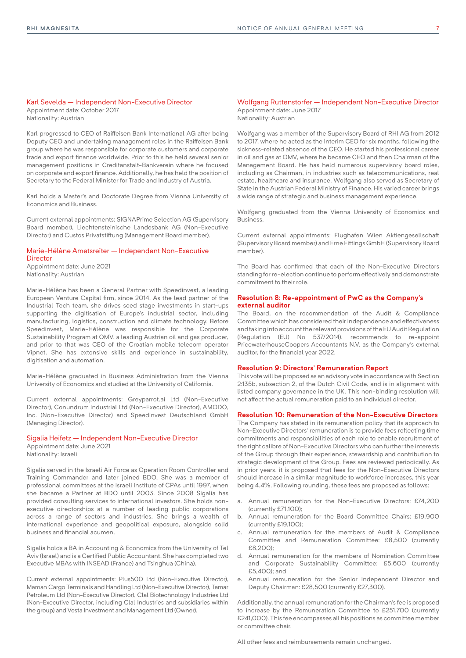#### Karl Sevelda – Independent Non-Executive Director

Appointment date: October 2017 Nationality: Austrian

Karl progressed to CEO of Raiffeisen Bank International AG after being Deputy CEO and undertaking management roles in the Raiffeisen Bank group where he was responsible for corporate customers and corporate trade and export finance worldwide. Prior to this he held several senior management positions in Creditanstalt-Bankverein where he focused on corporate and export finance. Additionally, he has held the position of Secretary to the Federal Minister for Trade and Industry of Austria.

Karl holds a Master's and Doctorate Degree from Vienna University of Economics and Business.

Current external appointments: SIGNAPrime Selection AG (Supervisory Board member), Liechtensteinische Landesbank AG (Non-Executive Director) and Custos Privatstiftung (Management Board member).

#### Marie-Hélène Ametsreiter – Independent Non-Executive **Director**

Appointment date: June 2021 Nationality: Austrian

Marie-Hélène has been a General Partner with Speedinvest, a leading European Venture Capital firm, since 2014. As the lead partner of the Industrial Tech team, she drives seed stage investments in start-ups supporting the digitisation of Europe's industrial sector, including manufacturing, logistics, construction and climate technology. Before Speedinvest, Marie-Hélène was responsible for the Corporate Sustainability Program at OMV, a leading Austrian oil and gas producer, and prior to that was CEO of the Croatian mobile telecom operator Vipnet. She has extensive skills and experience in sustainability, digitisation and automation.

Marie-Hélène graduated in Business Administration from the Vienna University of Economics and studied at the University of California.

Current external appointments: Greyparrot.ai Ltd (Non-Executive Director), Conundrum Industrial Ltd (Non-Executive Director), AMODO, Inc. (Non-Executive Director) and Speedinvest Deutschland GmbH (Managing Director).

#### Sigalia Heifetz – Independent Non-Executive Director

Appointment date: June 2021 Nationality: Israeli

Sigalia served in the Israeli Air Force as Operation Room Controller and Training Commander and later joined BDO. She was a member of professional committees at the Israeli Institute of CPAs until 1997, when she became a Partner at BDO until 2003. Since 2008 Sigalia has provided consulting services to international investors. She holds nonexecutive directorships at a number of leading public corporations across a range of sectors and industries. She brings a wealth of international experience and geopolitical exposure, alongside solid business and financial acumen.

Sigalia holds a BA in Accounting & Economics from the University of Tel Aviv (Israel) and is a Certified Public Accountant. She has completed two Executive MBAs with INSEAD (France) and Tsinghua (China).

Current external appointments: Plus500 Ltd (Non-Executive Director), Maman Cargo Terminals and Handling Ltd (Non-Executive Director), Tamar Petroleum Ltd (Non-Executive Director), Clal Biotechnology Industries Ltd (Non-Executive Director, including Clal Industries and subsidiaries within the group) and Vesta Investment and Management Ltd (Owner).

#### Wolfgang Ruttenstorfer – Independent Non-Executive Director Appointment date: June 2017 Nationality: Austrian

Wolfgang was a member of the Supervisory Board of RHI AG from 2012 to 2017, where he acted as the Interim CEO for six months, following the sickness-related absence of the CEO. He started his professional career in oil and gas at OMV, where he became CEO and then Chairman of the Management Board. He has held numerous supervisory board roles, including as Chairman, in industries such as telecommunications, real estate, healthcare and insurance. Wolfgang also served as Secretary of State in the Austrian Federal Ministry of Finance. His varied career brings a wide range of strategic and business management experience.

Wolfgang graduated from the Vienna University of Economics and Business.

Current external appointments: Flughafen Wien Aktiengesellschaft (Supervisory Board member) and Erne Fittings GmbH (Supervisory Board member).

The Board has confirmed that each of the Non-Executive Directors standing for re-election continue to perform effectively and demonstrate commitment to their role.

#### **Resolution 8: Re-appointment of PwC as the Company's external auditor**

The Board, on the recommendation of the Audit & Compliance Committee which has considered their independence and effectiveness and taking into account the relevant provisions of the EU Audit Regulation (Regulation (EU) No 537/2014), recommends to re-appoint PricewaterhouseCoopers Accountants N.V. as the Company's external auditor, for the financial year 2022.

#### **Resolution 9: Directors' Remuneration Report**

This vote will be proposed as an advisory vote in accordance with Section 2:135b, subsection 2, of the Dutch Civil Code, and is in alignment with listed company governance in the UK. This non-binding resolution will not affect the actual remuneration paid to an individual director.

#### **Resolution 10: Remuneration of the Non-Executive Directors**

The Company has stated in its remuneration policy that its approach to Non-Executive Directors' remuneration is to provide fees reflecting time commitments and responsibilities of each role to enable recruitment of the right calibre of Non-Executive Directors who can further the interests of the Group through their experience, stewardship and contribution to strategic development of the Group. Fees are reviewed periodically. As in prior years, it is proposed that fees for the Non-Executive Directors should increase in a similar magnitude to workforce increases, this year being 4.4%. Following rounding, these fees are proposed as follows:

- a. Annual remuneration for the Non-Executive Directors: £74,200 (currently £71,100);
- b. Annual remuneration for the Board Committee Chairs: £19,900 (currently £19,100);
- c. Annual remuneration for the members of Audit & Compliance Committee and Remuneration Committee: £8,500 (currently £8,200);
- d. Annual remuneration for the members of Nomination Committee and Corporate Sustainability Committee: £5,600 (currently £5,400); and
- e. Annual remuneration for the Senior Independent Director and Deputy Chairman: £28,500 (currently £27,300).

Additionally, the annual remuneration for the Chairman's fee is proposed to increase by the Remuneration Committee to £251,700 (currently £241,000). This fee encompasses all his positions as committee member or committee chair.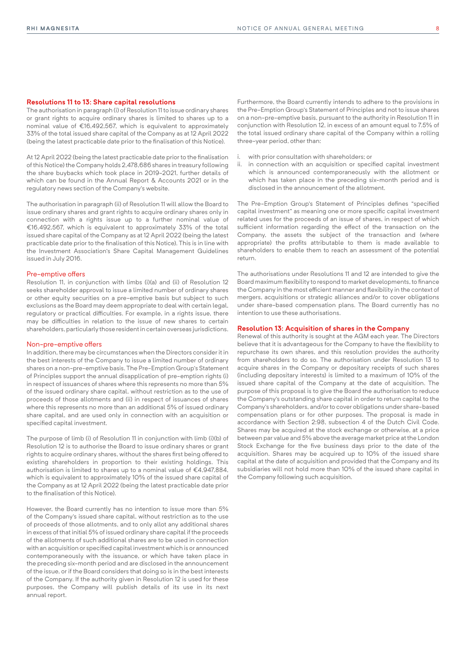#### **Resolutions 11 to 13: Share capital resolutions**

The authorisation in paragraph (i) of Resolution 11 to issue ordinary shares or grant rights to acquire ordinary shares is limited to shares up to a nominal value of €16,492,567, which is equivalent to approximately 33% of the total issued share capital of the Company as at 12 April 2022 (being the latest practicable date prior to the finalisation of this Notice).

At 12 April 2022 (being the latest practicable date prior to the finalisation of this Notice) the Company holds 2,478,686 shares in treasury following the share buybacks which took place in 2019-2021, further details of which can be found in the Annual Report & Accounts 2021 or in the regulatory news section of the Company's website.

The authorisation in paragraph (ii) of Resolution 11 will allow the Board to issue ordinary shares and grant rights to acquire ordinary shares only in connection with a rights issue up to a further nominal value of €16,492,567, which is equivalent to approximately 33% of the total issued share capital of the Company as at 12 April 2022 (being the latest practicable date prior to the finalisation of this Notice). This is in line with the Investment Association's Share Capital Management Guidelines issued in July 2016.

#### Pre-emptive offers

Resolution 11, in conjunction with limbs (i)(a) and (ii) of Resolution 12 seeks shareholder approval to issue a limited number of ordinary shares or other equity securities on a pre-emptive basis but subject to such exclusions as the Board may deem appropriate to deal with certain legal, regulatory or practical difficulties. For example, in a rights issue, there may be difficulties in relation to the issue of new shares to certain shareholders, particularly those resident in certain overseas jurisdictions.

#### Non-pre-emptive offers

In addition, there may be circumstances when the Directors consider it in the best interests of the Company to issue a limited number of ordinary shares on a non-pre-emptive basis. The Pre-Emption Group's Statement of Principles support the annual disapplication of pre-emption rights (i) in respect of issuances of shares where this represents no more than 5% of the issued ordinary share capital, without restriction as to the use of proceeds of those allotments and (ii) in respect of issuances of shares where this represents no more than an additional 5% of issued ordinary share capital, and are used only in connection with an acquisition or specified capital investment.

The purpose of limb (i) of Resolution 11 in conjunction with limb (i)(b) of Resolution 12 is to authorise the Board to issue ordinary shares or grant rights to acquire ordinary shares, without the shares first being offered to existing shareholders in proportion to their existing holdings. This authorisation is limited to shares up to a nominal value of €4,947,884, which is equivalent to approximately 10% of the issued share capital of the Company as at 12 April 2022 (being the latest practicable date prior to the finalisation of this Notice).

However, the Board currently has no intention to issue more than 5% of the Company's issued share capital, without restriction as to the use of proceeds of those allotments, and to only allot any additional shares in excess of that initial 5% of issued ordinary share capital if the proceeds of the allotments of such additional shares are to be used in connection with an acquisition or specified capital investment which is or announced contemporaneously with the issuance, or which have taken place in the preceding six-month period and are disclosed in the announcement of the issue, or if the Board considers that doing so is in the best interests of the Company. If the authority given in Resolution 12 is used for these purposes, the Company will publish details of its use in its next annual report.

Furthermore, the Board currently intends to adhere to the provisions in the Pre-Emption Group's Statement of Principles and not to issue shares on a non-pre-emptive basis, pursuant to the authority in Resolution 11 in conjunction with Resolution 12, in excess of an amount equal to 7.5% of the total issued ordinary share capital of the Company within a rolling three-year period, other than:

- with prior consultation with shareholders; or
- ii. in connection with an acquisition or specified capital investment which is announced contemporaneously with the allotment or which has taken place in the preceding six-month period and is disclosed in the announcement of the allotment.

The Pre-Emption Group's Statement of Principles defines "specified capital investment" as meaning one or more specific capital investment related uses for the proceeds of an issue of shares, in respect of which sufficient information regarding the effect of the transaction on the Company, the assets the subject of the transaction and (where appropriate) the profits attributable to them is made available to shareholders to enable them to reach an assessment of the potential return.

The authorisations under Resolutions 11 and 12 are intended to give the Board maximum flexibility to respond to market developments, to finance the Company in the most efficient manner and flexibility in the context of mergers, acquisitions or strategic alliances and/or to cover obligations under share-based compensation plans. The Board currently has no intention to use these authorisations.

#### **Resolution 13: Acquisition of shares in the Company**

Renewal of this authority is sought at the AGM each year. The Directors believe that it is advantageous for the Company to have the flexibility to repurchase its own shares, and this resolution provides the authority from shareholders to do so. The authorisation under Resolution 13 to acquire shares in the Company or depositary receipts of such shares (including depositary interests) is limited to a maximum of 10% of the issued share capital of the Company at the date of acquisition. The purpose of this proposal is to give the Board the authorisation to reduce the Company's outstanding share capital in order to return capital to the Company's shareholders, and/or to cover obligations under share-based compensation plans or for other purposes. The proposal is made in accordance with Section 2:98, subsection 4 of the Dutch Civil Code. Shares may be acquired at the stock exchange or otherwise, at a price between par value and 5% above the average market price at the London Stock Exchange for the five business days prior to the date of the acquisition. Shares may be acquired up to 10% of the issued share capital at the date of acquisition and provided that the Company and its subsidiaries will not hold more than 10% of the issued share capital in the Company following such acquisition.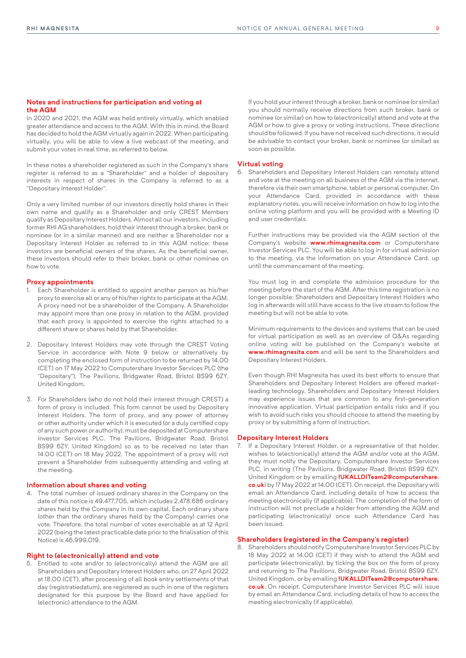#### **Notes and instructions for participation and voting at the AGM**

In 2020 and 2021, the AGM was held entirely virtually, which enabled greater attendance and access to the AGM. With this in mind, the Board has decided to hold the AGM virtually again in 2022. When participating virtually, you will be able to view a live webcast of the meeting, and submit your votes in real time, as referred to below.

In these notes a shareholder registered as such in the Company's share register is referred to as a "Shareholder" and a holder of depositary interests in respect of shares in the Company is referred to as a "Depositary Interest Holder".

Only a very limited number of our investors directly hold shares in their own name and qualify as a Shareholder and only CREST Members qualify as Depositary Interest Holders. Almost all our investors, including former RHI AG shareholders, hold their interest through a broker, bank or nominee (or in a similar manner) and are neither a Shareholder nor a Depositary Interest Holder as referred to in this AGM notice; these investors are beneficial owners of the shares. As the beneficial owner, these investors should refer to their broker, bank or other nominee on how to vote.

#### **Proxy appointments**

- 1. Each Shareholder is entitled to appoint another person as his/her proxy to exercise all or any of his/her rights to participate at the AGM. A proxy need not be a shareholder of the Company. A Shareholder may appoint more than one proxy in relation to the AGM, provided that each proxy is appointed to exercise the rights attached to a different share or shares held by that Shareholder.
- 2. Depositary Interest Holders may vote through the CREST Voting Service in accordance with Note 9 below or alternatively by completing the enclosed form of instruction to be returned by 14.00 (CET) on 17 May 2022 to Computershare Investor Services PLC (the "Depositary"), The Pavilions, Bridgwater Road, Bristol BS99 6ZY, United Kingdom.
- 3. For Shareholders (who do not hold their interest through CREST) a form of proxy is included. This form cannot be used by Depositary Interest Holders. The form of proxy, and any power of attorney or other authority under which it is executed (or a duly certified copy of any such power or authority), must be deposited at Computershare Investor Services PLC, The Pavilions, Bridgwater Road, Bristol BS99 6ZY, United Kingdom) so as to be received no later than 14.00 (CET) on 18 May 2022. The appointment of a proxy will not prevent a Shareholder from subsequently attending and voting at the meeting.

#### **Information about shares and voting**

4. The total number of issued ordinary shares in the Company on the date of this notice is 49,477,705, which includes 2,478,686 ordinary shares held by the Company in its own capital. Each ordinary share (other than the ordinary shares held by the Company) carries one vote. Therefore, the total number of votes exercisable as at 12 April 2022 (being the latest practicable date prior to the finalisation of this Notice) is 46,999,019.

#### **Right to (electronically) attend and vote**

5. Entitled to vote and/or to (electronically) attend the AGM are all Shareholders and Depositary Interest Holders who, on 27 April 2022 at 18.00 (CET), after processing of all book entry settlements of that day (registratiedatum), are registered as such in one of the registers designated for this purpose by the Board and have applied for (electronic) attendance to the AGM.

 If you hold your interest through a broker, bank or nominee (or similar) you should normally receive directions from such broker, bank or nominee (or similar) on how to (electronically) attend and vote at the AGM or how to give a proxy or voting instructions. These directions should be followed. If you have not received such directions, it would be advisable to contact your broker, bank or nominee (or similar) as soon as possible.

#### **Virtual voting**

6. Shareholders and Depositary Interest Holders can remotely attend and vote at the meeting on all business of the AGM via the internet, therefore via their own smartphone, tablet or personal computer. On your Attendance Card, provided in accordance with these explanatory notes, you will receive information on how to log into the online voting platform and you will be provided with a Meeting ID and user credentials.

 Further instructions may be provided via the AGM section of the Company's website **[www.rhimagnesita.com](http://www.rhimagnesita.com)** or Computershare Investor Services PLC. You will be able to log in for virtual admission to the meeting, via the information on your Attendance Card, up until the commencement of the meeting.

 You must log in and complete the admission procedure for the meeting before the start of the AGM. After this time registration is no longer possible; Shareholders and Depositary Interest Holders who log in afterwards will still have access to the live stream to follow the meeting but will not be able to vote.

 Minimum requirements to the devices and systems that can be used for virtual participation as well as an overview of Q&As regarding online voting will be published on the Company's website at **www.rhimagnesita.com** and will be sent to the Shareholders and Depositary Interest Holders.

 Even though RHI Magnesita has used its best efforts to ensure that Shareholders and Depositary Interest Holders are offered marketleading technology, Shareholders and Depositary Interest Holders may experience issues that are common to any first-generation innovative application. Virtual participation entails risks and if you wish to avoid such risks you should choose to attend the meeting by proxy or by submitting a form of instruction.

#### **Depositary Interest Holders**

7. If a Depositary Interest Holder, or a representative of that holder, wishes to (electronically) attend the AGM and/or vote at the AGM, they must notify the Depositary, Computershare Investor Services PLC, in writing (The Pavilions, Bridgwater Road, Bristol BS99 6ZY, United Kingdom or by emailing **[!UKALLDITeam2@computershare.](mailto:%21UKALLDITeam2%40computershare.co.uk?subject=) [co.uk](mailto:%21UKALLDITeam2%40computershare.co.uk?subject=)**) by 17 May 2022 at 14.00 (CET). On receipt, the Depositary will email an Attendance Card, including details of how to access the meeting electronically (if applicable). The completion of the form of instruction will not preclude a holder from attending the AGM and participating (electronically) once such Attendance Card has been issued.

#### **Shareholders (registered in the Company's register)**

8. Shareholders should notify Computershare Investor Services PLC by 18 May 2022 at 14.00 (CET) if they wish to attend the AGM and participate (electronically), by ticking the box on the form of proxy and returning to The Pavilions, Bridgwater Road, Bristol BS99 6ZY, United Kingdom, or by emailing **!UKALLDITeam2@computershare. co.uk**. On receipt, Computershare Investor Services PLC will issue by email an Attendance Card, including details of how to access the meeting electronically (if applicable).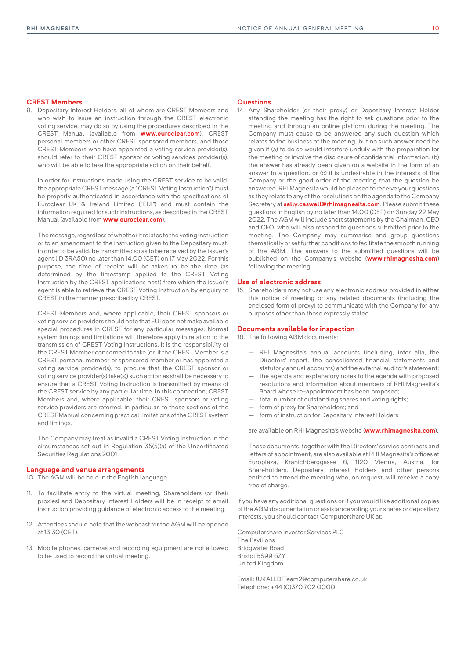#### **CREST Members**

9. Depositary Interest Holders, all of whom are CREST Members and who wish to issue an instruction through the CREST electronic voting service, may do so by using the procedures described in the CREST Manual (available from **[www.euroclear.com](http://www.euroclear.com)**). CREST personal members or other CREST sponsored members, and those CREST Members who have appointed a voting service provider(s), should refer to their CREST sponsor or voting services provider(s), who will be able to take the appropriate action on their behalf.

 In order for instructions made using the CREST service to be valid, the appropriate CREST message (a "CREST Voting Instruction") must be properly authenticated in accordance with the specifications of Euroclear UK & Ireland Limited ("EUI") and must contain the information required for such instructions, as described in the CREST Manual (available from **[www.euroclear.com](http://www.euroclear.com)**).

 The message, regardless of whether it relates to the voting instruction or to an amendment to the instruction given to the Depositary must, in order to be valid, be transmitted so as to be received by the issuer's agent (ID 3RA50) no later than 14.00 (CET) on 17 May 2022. For this purpose, the time of receipt will be taken to be the time (as determined by the timestamp applied to the CREST Voting Instruction by the CREST applications host) from which the issuer's agent is able to retrieve the CREST Voting Instruction by enquiry to CREST in the manner prescribed by CREST.

 CREST Members and, where applicable, their CREST sponsors or voting service providers should note that EUI does not make available special procedures in CREST for any particular messages. Normal system timings and limitations will therefore apply in relation to the transmission of CREST Voting Instructions. It is the responsibility of the CREST Member concerned to take (or, if the CREST Member is a CREST personal member or sponsored member or has appointed a voting service provider(s), to procure that the CREST sponsor or voting service provider(s) take(s)) such action as shall be necessary to ensure that a CREST Voting Instruction is transmitted by means of the CREST service by any particular time. In this connection, CREST Members and, where applicable, their CREST sponsors or voting service providers are referred, in particular, to those sections of the CREST Manual concerning practical limitations of the CREST system and timings.

 The Company may treat as invalid a CREST Voting Instruction in the circumstances set out in Regulation 35(5)(a) of the Uncertificated Securities Regulations 2001.

#### **Language and venue arrangements**

10. The AGM will be held in the English language.

- 11. To facilitate entry to the virtual meeting, Shareholders (or their proxies) and Depositary Interest Holders will be in receipt of email instruction providing guidance of electronic access to the meeting.
- 12. Attendees should note that the webcast for the AGM will be opened at 13.30 (CET).
- 13. Mobile phones, cameras and recording equipment are not allowed to be used to record the virtual meeting.

#### **Questions**

14. Any Shareholder (or their proxy) or Depositary Interest Holder attending the meeting has the right to ask questions prior to the meeting and through an online platform during the meeting. The Company must cause to be answered any such question which relates to the business of the meeting, but no such answer need be given if (a) to do so would interfere unduly with the preparation for the meeting or involve the disclosure of confidential information, (b) the answer has already been given on a website in the form of an answer to a question, or (c) it is undesirable in the interests of the Company or the good order of the meeting that the question be answered. RHI Magnesita would be pleased to receive your questions as they relate to any of the resolutions on the agenda to the Company Secretary at **[sally.caswell@rhimagnesita.com](mailto:sally.caswell%40rhimagnesita.com?subject=)**. Please submit these questions in English by no later than 14.00 (CET) on Sunday 22 May 2022. The AGM will include short statements by the Chairman, CEO and CFO, who will also respond to questions submitted prior to the meeting. The Company may summarise and group questions thematically or set further conditions to facilitate the smooth running of the AGM. The answers to the submitted questions will be published on the Company's website (**www.rhimagnesita.com**) following the meeting.

#### **Use of electronic address**

15. Shareholders may not use any electronic address provided in either this notice of meeting or any related documents (including the enclosed form of proxy) to communicate with the Company for any purposes other than those expressly stated.

#### **Documents available for inspection**

16. The following AGM documents:

- RHI Magnesita's annual accounts (including, inter alia, the Directors' report, the consolidated financial statements and statutory annual accounts) and the external auditor's statement;
- the agenda and explanatory notes to the agenda with proposed resolutions and information about members of RHI Magnesita's Board whose re-appointment has been proposed;
- total number of outstanding shares and voting rights;
- form of proxy for Shareholders; and
- form of instruction for Depositary Interest Holders

are available on RHI Magnesita's website (**[www.rhimagnesita.com](http://www.rhimagnesita.com)**).

 These documents, together with the Directors' service contracts and letters of appointment, are also available at RHI Magnesita's offices at Europlaza, Kranichberggasse 6, 1120 Vienna, Austria, for Shareholders, Depositary Interest Holders and other persons entitled to attend the meeting who, on request, will receive a copy free of charge.

If you have any additional questions or if you would like additional copies of the AGM documentation or assistance voting your shares or depositary interests, you should contact Computershare UK at:

Computershare Investor Services PLC The Pavilions Bridgwater Road Bristol BS99 6ZY United Kingdom

[Email: !UKALLDITeam2@computershare.co.uk](mailto:%20%21UKALLDITeam2%40computershare.co.uk%20%20?subject=)  Telephone: +44 (0)370 702 0000